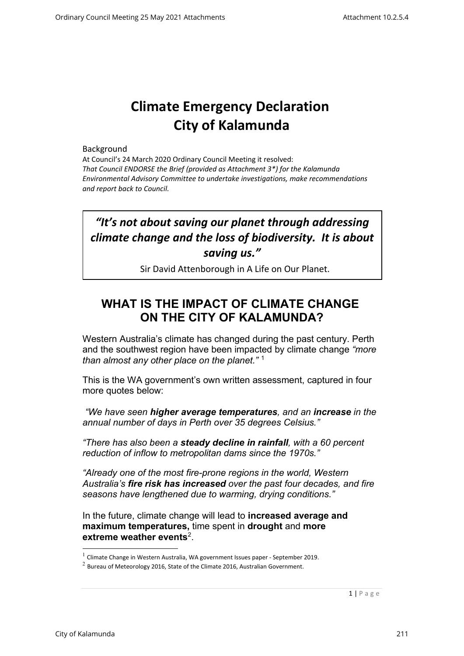# **Climate Emergency Declaration City of Kalamunda**

#### Background

At Council's 24 March 2020 Ordinary Council Meeting it resolved: *That Council ENDORSE the Brief (provided as Attachment 3\*) for the Kalamunda Environmental Advisory Committee to undertake investigations, make recommendations and report back to Council.*

## *"It's not about saving our planet through addressing climate change and the loss of biodiversity. It is about saving us."*

Sir David Attenborough in A Life on Our Planet.

### WHAT IS THE IMPACT OF CLIMATE CHANGE **ON THE CITY OF KALAMUNDA?**

Western Australia's climate has changed during the past century. Perth and the southwest region have been impacted by climate change *"more than almost any other place on the planet."* [1](#page-0-0)

This is the WA government's own written assessment, captured in four more quotes below:

*"We have seen higher average temperatures, and an increase in the annual number of days in Perth over 35 degrees Celsius."*

*"There has also been a steady decline in rainfall, with a 60 percent reduction of inflow to metropolitan dams since the 1970s."*

*"Already one of the most fire-prone regions in the world, Western Australia's fire risk has increased over the past four decades, and fire seasons have lengthened due to warming, drying conditions."*

In the future, climate change will lead to **increased average and maximum temperatures,** time spent in **drought** and **more extreme weather events**[2](#page-0-1).

 $<sup>1</sup>$  Climate Change in Western Australia, WA government Issues paper - September 2019.</sup>

<span id="page-0-1"></span><span id="page-0-0"></span> $2$  Bureau of Meteorology 2016, State of the Climate 2016, Australian Government.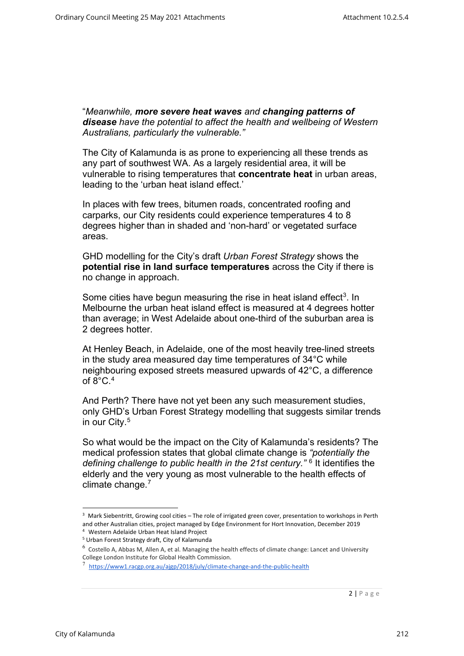"*Meanwhile, more severe heat waves and changing patterns of disease have the potential to affect the health and wellbeing of Western Australians, particularly the vulnerable."*

The City of Kalamunda is as prone to experiencing all these trends as any part of southwest WA. As a largely residential area, it will be vulnerable to rising temperatures that **concentrate heat** in urban areas, leading to the 'urban heat island effect.'

In places with few trees, bitumen roads, concentrated roofing and carparks, our City residents could experience temperatures 4 to 8 degrees higher than in shaded and 'non-hard' or vegetated surface areas.

GHD modelling for the City's draft *Urban Forest Strategy* shows the **potential rise in land surface temperatures** across the City if there is no change in approach.

Some cities have begun measuring the rise in heat island effect<sup>3</sup>. In Melbourne the urban heat island effect is measured at 4 degrees hotter than average; in West Adelaide about one-third of the suburban area is 2 degrees hotter.

At Henley Beach, in Adelaide, one of the most heavily tree-lined streets in the study area measured day time temperatures of 34°C while neighbouring exposed streets measured upwards of 42°C, a difference of  $8^{\circ}$ C.  $4^{\circ}$  $4^{\circ}$ 

And Perth? There have not yet been any such measurement studies, only GHD's Urban Forest Strategy modelling that suggests similar trends in our City. [5](#page-1-2)

So what would be the impact on the City of Kalamunda's residents? The medical profession states that global climate change is *"potentially the defining challenge to public health in the 21st century."* [6](#page-1-3) It identifies the elderly and the very young as most vulnerable to the health effects of climate change.<sup>[7](#page-1-4)</sup>

<sup>&</sup>lt;sup>3</sup> Mark Siebentritt, Growing cool cities – The role of irrigated green cover, presentation to workshops in Perth and other Australian cities, project managed by Edge Environment for Hort Innovation, December 2019

<sup>&</sup>lt;sup>4</sup> Western Adelaide Urban Heat Island Project<br><sup>5</sup> Urban Forest Strategy draft, City of Kalamunda

<span id="page-1-0"></span> $6$  Costello A, Abbas M, Allen A, et al. Managing the health effects of climate change: Lancet and University College London Institute for Global Health Commission.

<span id="page-1-4"></span><span id="page-1-3"></span><span id="page-1-2"></span><span id="page-1-1"></span><sup>&</sup>lt;sup>7</sup> [https://www1.racgp.org.au/ajgp/2018/july/climate-change-and-the-public-health](https://protect-au.mimecast.com/s/tsdGCVARAkco1vqOczDd0a?domain=www1.racgp.org.au)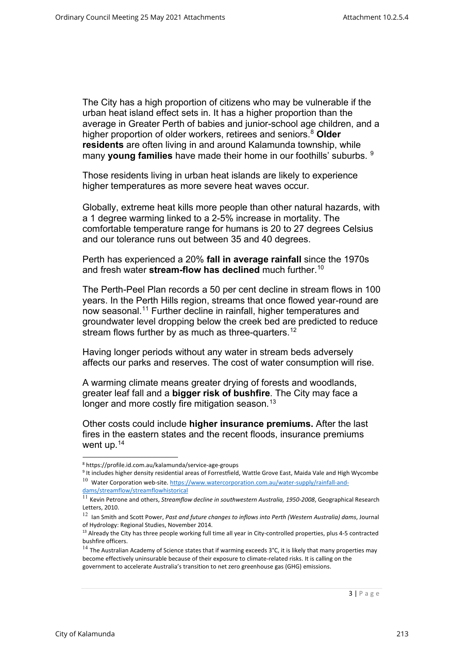The City has a high proportion of citizens who may be vulnerable if the urban heat island effect sets in. It has a higher proportion than the average in Greater Perth of babies and junior-school age children, and a higher proportion of older workers, retirees and seniors.[8](#page-2-0) **Older residents** are often living in and around Kalamunda township, while many **young families** have made their home in our foothills' suburbs. [9](#page-2-1)

Those residents living in urban heat islands are likely to experience higher temperatures as more severe heat waves occur.

Globally, extreme heat kills more people than other natural hazards, with a 1 degree warming linked to a 2-5% increase in mortality. The comfortable temperature range for humans is 20 to 27 degrees Celsius and our tolerance runs out between 35 and 40 degrees.

Perth has experienced a 20% **fall in average rainfall** since the 1970s and fresh water **stream-flow has declined** much further.<sup>[10](#page-2-2)</sup>

The Perth-Peel Plan records a 50 per cent decline in stream flows in 100 years. In the Perth Hills region, streams that once flowed year-round are now seasonal.<sup>[11](#page-2-3)</sup> Further decline in rainfall, higher temperatures and groundwater level dropping below the creek bed are predicted to reduce stream flows further by as much as three-quarters.<sup>[12](#page-2-4)</sup>

Having longer periods without any water in stream beds adversely affects our parks and reserves. The cost of water consumption will rise.

A warming climate means greater drying of forests and woodlands, greater leaf fall and a **bigger risk of bushfire**. The City may face a longer and more costly fire mitigation season.<sup>[13](#page-2-5)</sup>

Other costs could include **higher insurance premiums.** After the last fires in the eastern states and the recent floods, insurance premiums went up.[14](#page-2-6)

<sup>8</sup> https://profile.id.com.au/kalamunda/service-age-groups

<sup>&</sup>lt;sup>9</sup> It includes higher density residential areas of Forrestfield, Wattle Grove East, Maida Vale and High Wycombe  $10$  Water Corporation web-site[. https://www.watercorporation.com.au/water-supply/rainfall-and](https://www.watercorporation.com.au/water-supply/rainfall-and-dams/streamflow/streamflowhistorical)[dams/streamflow/streamflowhistorical](https://www.watercorporation.com.au/water-supply/rainfall-and-dams/streamflow/streamflowhistorical)

<span id="page-2-1"></span><span id="page-2-0"></span><sup>11</sup> Kevin Petrone and others, *Streamflow decline in southwestern Australia, 1950-2008*, Geographical Research Letters, 2010.

<span id="page-2-2"></span><sup>12</sup> Ian Smith and Scott Power, *Past and future changes to inflows into Perth (Western Australia) dams*, Journal of Hydrology: Regional Studies, November 2014.

<span id="page-2-3"></span><sup>&</sup>lt;sup>13</sup> Already the City has three people working full time all year in City-controlled properties, plus 4-5 contracted bushfire officers.

<span id="page-2-6"></span><span id="page-2-5"></span><span id="page-2-4"></span> $14$  The Australian Academy of Science states that if warming exceeds 3°C, it is likely that many properties may become effectively uninsurable because of their exposure to climate-related risks. It is calling on the government to accelerate Australia's transition to net zero greenhouse gas (GHG) emissions.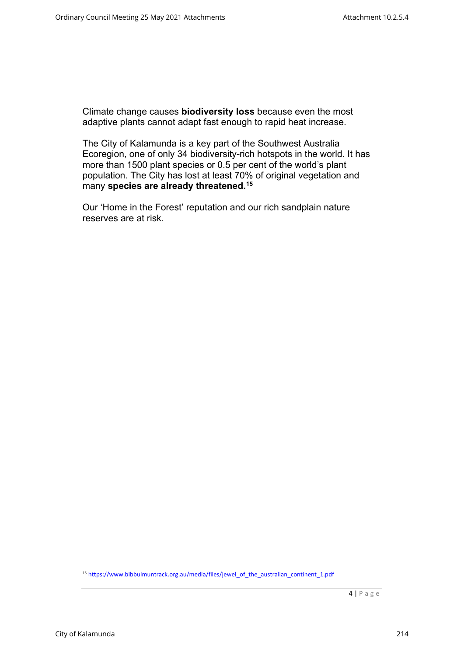Climate change causes **biodiversity loss** because even the most adaptive plants cannot adapt fast enough to rapid heat increase.

The City of Kalamunda is a key part of the Southwest Australia Ecoregion, one of only 34 biodiversity-rich hotspots in the world. It has more than 1500 plant species or 0.5 per cent of the world's plant population. The City has lost at least 70% of original vegetation and many **species are already threatened.[15](#page-3-0)**

Our 'Home in the Forest' reputation and our rich sandplain nature reserves are at risk.

<span id="page-3-0"></span><sup>&</sup>lt;sup>15</sup> [https://www.bibbulmuntrack.org.au/media/files/jewel\\_of\\_the\\_australian\\_continent\\_1.pdf](https://www.bibbulmuntrack.org.au/media/files/jewel_of_the_australian_continent_1.pdf)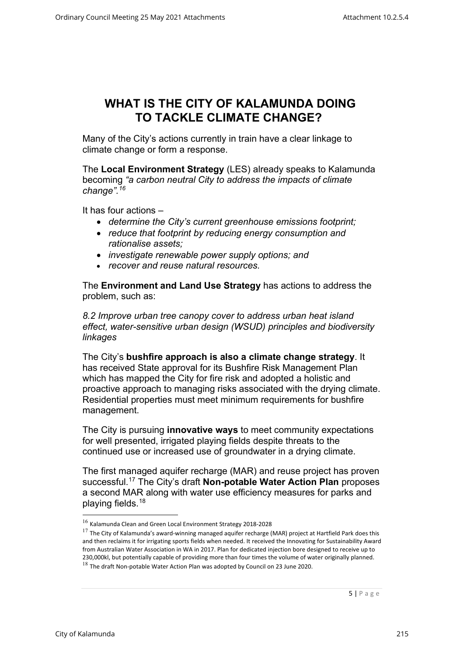#### **WHAT IS THE CITY OF KALAMUNDA DOING TO TACKLE CLIMATE CHANGE?**

Many of the City's actions currently in train have a clear linkage to climate change or form a response.

The **Local Environment Strategy** (LES) already speaks to Kalamunda becoming *"a carbon neutral City to address the impacts of climate change".[16](#page-4-0)*

It has four actions –

- *determine the City's current greenhouse emissions footprint;*
- *reduce that footprint by reducing energy consumption and rationalise assets;*
- *investigate renewable power supply options; and*
- *recover and reuse natural resources.*

The **Environment and Land Use Strategy** has actions to address the problem, such as:

*8.2 Improve urban tree canopy cover to address urban heat island effect, water-sensitive urban design (WSUD) principles and biodiversity linkages*

The City's **bushfire approach is also a climate change strategy**. It has received State approval for its Bushfire Risk Management Plan which has mapped the City for fire risk and adopted a holistic and proactive approach to managing risks associated with the drying climate. Residential properties must meet minimum requirements for bushfire management.

The City is pursuing **innovative ways** to meet community expectations for well presented, irrigated playing fields despite threats to the continued use or increased use of groundwater in a drying climate.

The first managed aquifer recharge (MAR) and reuse project has proven successful.[17](#page-4-1) The City's draft **Non-potable Water Action Plan** proposes a second MAR along with water use efficiency measures for parks and playing fields[.18](#page-4-2)

<sup>16</sup> Kalamunda Clean and Green Local Environment Strategy 2018-2028

<span id="page-4-2"></span><span id="page-4-1"></span><span id="page-4-0"></span> $^{17}$  The City of Kalamunda's award-winning managed aquifer recharge (MAR) project at Hartfield Park does this and then reclaims it for irrigating sports fields when needed. It received the Innovating for Sustainability Award from Australian Water Association in WA in 2017. Plan for dedicated injection bore designed to receive up to 230,000kl, but potentially capable of providing more than four times the volume of water originally planned.  $^{18}$  The draft Non-potable Water Action Plan was adopted by Council on 23 June 2020.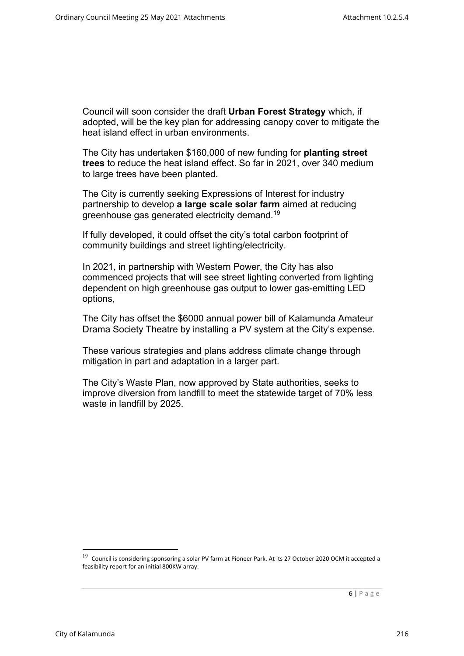Council will soon consider the draft **Urban Forest Strategy** which, if adopted, will be the key plan for addressing canopy cover to mitigate the heat island effect in urban environments.

The City has undertaken \$160,000 of new funding for **planting street trees** to reduce the heat island effect. So far in 2021, over 340 medium to large trees have been planted.

The City is currently seeking Expressions of Interest for industry partnership to develop **a large scale solar farm** aimed at reducing greenhouse gas generated electricity demand.[19](#page-5-0)

If fully developed, it could offset the city's total carbon footprint of community buildings and street lighting/electricity.

In 2021, in partnership with Western Power, the City has also commenced projects that will see street lighting converted from lighting dependent on high greenhouse gas output to lower gas-emitting LED options,

The City has offset the \$6000 annual power bill of Kalamunda Amateur Drama Society Theatre by installing a PV system at the City's expense.

These various strategies and plans address climate change through mitigation in part and adaptation in a larger part.

The City's Waste Plan, now approved by State authorities, seeks to improve diversion from landfill to meet the statewide target of 70% less waste in landfill by 2025.

<span id="page-5-0"></span> $19$  Council is considering sponsoring a solar PV farm at Pioneer Park. At its 27 October 2020 OCM it accepted a feasibility report for an initial 800KW array.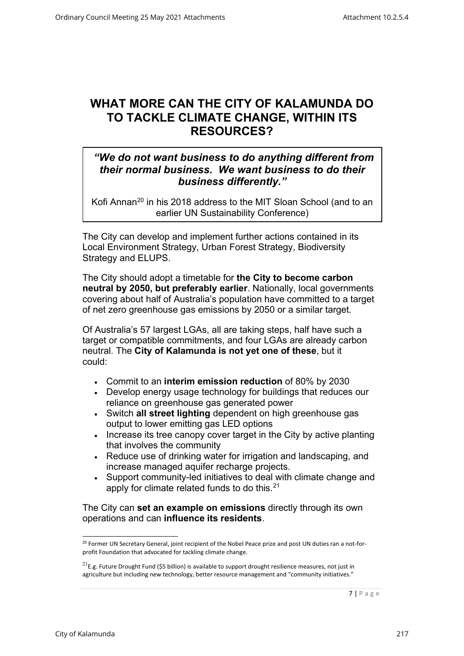### **WHAT MORE CAN THE CITY OF KALAMUNDA DO TO TACKLE CLIMATE CHANGE, WITHIN ITS RESOURCES?**

#### *"We do not want business to do anything different from their normal business. We want business to do their business differently."*

Kofi Annan<sup>[20](#page-6-0)</sup> in his 2018 address to the MIT Sloan School (and to an earlier UN Sustainability Conference)

The City can develop and implement further actions contained in its Local Environment Strategy, Urban Forest Strategy, Biodiversity Strategy and ELUPS.

The City should adopt a timetable for **the City to become carbon neutral by 2050, but preferably earlier**. Nationally, local governments covering about half of Australia's population have committed to a target of net zero greenhouse gas emissions by 2050 or a similar target.

Of Australia's 57 largest LGAs, all are taking steps, half have such a target or compatible commitments, and four LGAs are already carbon neutral. The **City of Kalamunda is not yet one of these**, but it could:

- Commit to an **interim emission reduction** of 80% by 2030
- Develop energy usage technology for buildings that reduces our reliance on greenhouse gas generated power
- Switch **all street lighting** dependent on high greenhouse gas output to lower emitting gas LED options
- Increase its tree canopy cover target in the City by active planting that involves the community
- Reduce use of drinking water for irrigation and landscaping, and increase managed aquifer recharge projects.
- Support community-led initiatives to deal with climate change and apply for climate related funds to do this.<sup>[21](#page-6-1)</sup>

The City can **set an example on emissions** directly through its own operations and can **influence its residents**.

<sup>&</sup>lt;sup>20</sup> Former UN Secretary General, joint recipient of the Nobel Peace prize and post UN duties ran a not-forprofit Foundation that advocated for tackling climate change.

<span id="page-6-1"></span><span id="page-6-0"></span> $^{21}$ E.g. Future Drought Fund (\$5 billion) is available to support drought resilience measures, not just in agriculture but including new technology, better resource management and "community initiatives."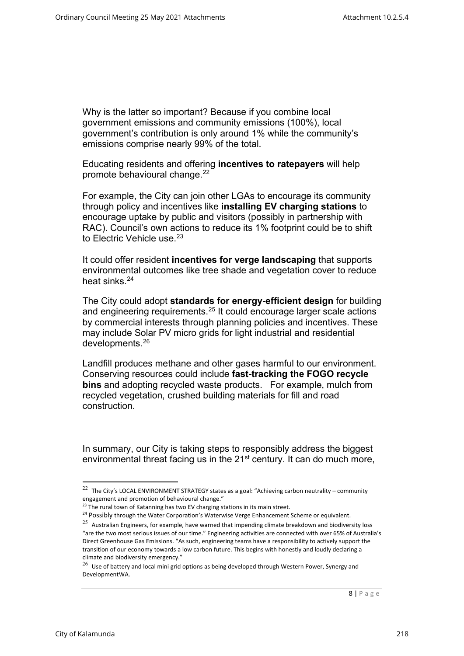Why is the latter so important? Because if you combine local government emissions and community emissions (100%), local government's contribution is only around 1% while the community's emissions comprise nearly 99% of the total.

Educating residents and offering **incentives to ratepayers** will help promote behavioural change.<sup>22</sup>

For example, the City can join other LGAs to encourage its community through policy and incentives like **installing EV charging stations** to encourage uptake by public and visitors (possibly in partnership with RAC). Council's own actions to reduce its 1% footprint could be to shift to Electric Vehicle use.<sup>[23](#page-7-1)</sup>

It could offer resident **incentives for verge landscaping** that supports environmental outcomes like tree shade and vegetation cover to reduce heat sinks.<sup>[24](#page-7-2)</sup>

The City could adopt **standards for energy-efficient design** for building and engineering requirements.[25](#page-7-3) It could encourage larger scale actions by commercial interests through planning policies and incentives. These may include Solar PV micro grids for light industrial and residential developments.[26](#page-7-4)

Landfill produces methane and other gases harmful to our environment. Conserving resources could include **fast-tracking the FOGO recycle bins** and adopting recycled waste products. For example, mulch from recycled vegetation, crushed building materials for fill and road construction.

In summary, our City is taking steps to responsibly address the biggest environmental threat facing us in the 21<sup>st</sup> century. It can do much more,

<sup>&</sup>lt;sup>22</sup> The City's LOCAL ENVIRONMENT STRATEGY states as a goal: "Achieving carbon neutrality – community engagement and promotion of behavioural change."

<sup>&</sup>lt;sup>23</sup> The rural town of Katanning has two EV charging stations in its main street.

<span id="page-7-0"></span><sup>&</sup>lt;sup>24</sup> Possibly through the Water Corporation's Waterwise Verge Enhancement Scheme or equivalent.

<span id="page-7-1"></span> $25$  Australian Engineers, for example, have warned that impending climate breakdown and biodiversity loss "are the two most serious issues of our time." Engineering activities are connected with over 65% of Australia's Direct Greenhouse Gas Emissions. "As such, engineering teams have a responsibility to actively support the transition of our economy towards a low carbon future. This begins with honestly and loudly declaring a climate and biodiversity emergency."

<span id="page-7-4"></span><span id="page-7-3"></span><span id="page-7-2"></span> $^{26}$  Use of battery and local mini grid options as being developed through Western Power, Synergy and DevelopmentWA.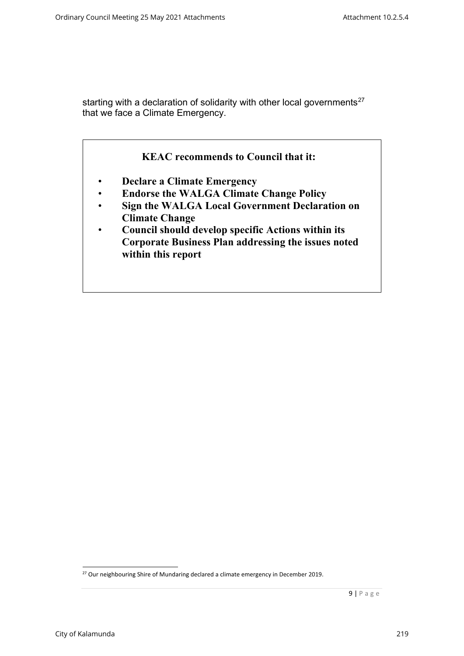starting with a declaration of solidarity with other local governments<sup>[27](#page-8-0)</sup> that we face a Climate Emergency.



<span id="page-8-0"></span><sup>&</sup>lt;sup>27</sup> Our neighbouring Shire of Mundaring declared a climate emergency in December 2019.